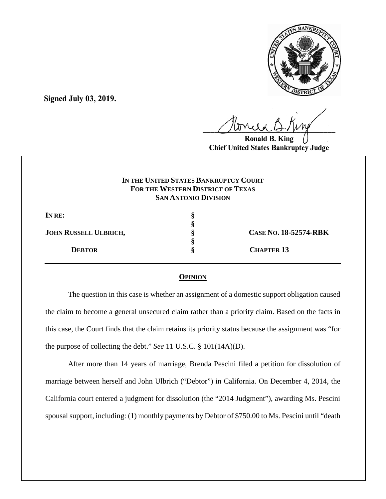

**Signed July 03, 2019.**

 $U^{WVWW}$ 

**Ronald Chief United States Bankruptcy Judge**

# **IN THE UNITED STATES BANKRUPTCY COURT FOR THE WESTERN DISTRICT OF TEXAS SAN ANTONIO DIVISION**

| IN RE:                       |                              |
|------------------------------|------------------------------|
|                              |                              |
| <b>JOHN RUSSELL ULBRICH,</b> | <b>CASE NO. 18-52574-RBK</b> |
|                              |                              |
| <b>DEBTOR</b>                | <b>CHAPTER 13</b>            |
|                              |                              |

## **OPINION**

The question in this case is whether an assignment of a domestic support obligation caused the claim to become a general unsecured claim rather than a priority claim. Based on the facts in this case, the Court finds that the claim retains its priority status because the assignment was "for the purpose of collecting the debt." *See* 11 U.S.C. § 101(14A)(D).

After more than 14 years of marriage, Brenda Pescini filed a petition for dissolution of marriage between herself and John Ulbrich ("Debtor") in California. On December 4, 2014, the California court entered a judgment for dissolution (the "2014 Judgment"), awarding Ms. Pescini spousal support, including: (1) monthly payments by Debtor of \$750.00 to Ms. Pescini until "death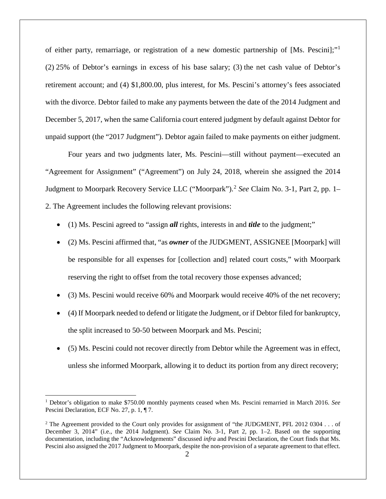of either party, remarriage, or registration of a new domestic partnership of [Ms. Pescini];"[1](#page-1-0) (2) 25% of Debtor's earnings in excess of his base salary; (3) the net cash value of Debtor's retirement account; and (4) \$1,800.00, plus interest, for Ms. Pescini's attorney's fees associated with the divorce. Debtor failed to make any payments between the date of the 2014 Judgment and December 5, 2017, when the same California court entered judgment by default against Debtor for unpaid support (the "2017 Judgment"). Debtor again failed to make payments on either judgment.

Four years and two judgments later, Ms. Pescini—still without payment—executed an "Agreement for Assignment" ("Agreement") on July 24, 2018, wherein she assigned the 2014 Judgment to Moorpark Recovery Service LLC ("Moorpark"). [2](#page-1-1) *See* Claim No. 3-1, Part 2, pp. 1– 2. The Agreement includes the following relevant provisions:

- (1) Ms. Pescini agreed to "assign *all* rights, interests in and *title* to the judgment;"
- (2) Ms. Pescini affirmed that, "as *owner* of the JUDGMENT, ASSIGNEE [Moorpark] will be responsible for all expenses for [collection and] related court costs," with Moorpark reserving the right to offset from the total recovery those expenses advanced;
- (3) Ms. Pescini would receive 60% and Moorpark would receive 40% of the net recovery;
- (4) If Moorpark needed to defend or litigate the Judgment, or if Debtor filed for bankruptcy, the split increased to 50-50 between Moorpark and Ms. Pescini;
- (5) Ms. Pescini could not recover directly from Debtor while the Agreement was in effect, unless she informed Moorpark, allowing it to deduct its portion from any direct recovery;

<span id="page-1-0"></span> <sup>1</sup> Debtor's obligation to make \$750.00 monthly payments ceased when Ms. Pescini remarried in March 2016. *See*  Pescini Declaration, ECF No. 27, p. 1, ¶ 7.

<span id="page-1-1"></span><sup>&</sup>lt;sup>2</sup> The Agreement provided to the Court only provides for assignment of "the JUDGMENT, PFL 2012 0304 . . . of December 3, 2014" (i.e., the 2014 Judgment). *See* Claim No. 3-1, Part 2, pp. 1–2. Based on the supporting documentation, including the "Acknowledgements" discussed *infra* and Pescini Declaration, the Court finds that Ms. Pescini also assigned the 2017 Judgment to Moorpark, despite the non-provision of a separate agreement to that effect.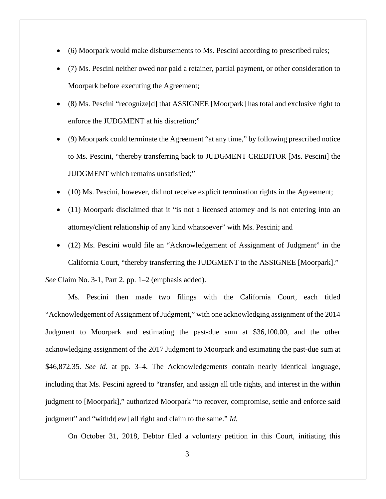- (6) Moorpark would make disbursements to Ms. Pescini according to prescribed rules;
- (7) Ms. Pescini neither owed nor paid a retainer, partial payment, or other consideration to Moorpark before executing the Agreement;
- (8) Ms. Pescini "recognize[d] that ASSIGNEE [Moorpark] has total and exclusive right to enforce the JUDGMENT at his discretion;"
- (9) Moorpark could terminate the Agreement "at any time," by following prescribed notice to Ms. Pescini, "thereby transferring back to JUDGMENT CREDITOR [Ms. Pescini] the JUDGMENT which remains unsatisfied;"
- (10) Ms. Pescini, however, did not receive explicit termination rights in the Agreement;
- (11) Moorpark disclaimed that it "is not a licensed attorney and is not entering into an attorney/client relationship of any kind whatsoever" with Ms. Pescini; and
- (12) Ms. Pescini would file an "Acknowledgement of Assignment of Judgment" in the California Court, "thereby transferring the JUDGMENT to the ASSIGNEE [Moorpark]."

*See* Claim No. 3-1, Part 2, pp. 1–2 (emphasis added).

Ms. Pescini then made two filings with the California Court, each titled "Acknowledgement of Assignment of Judgment," with one acknowledging assignment of the 2014 Judgment to Moorpark and estimating the past-due sum at \$36,100.00, and the other acknowledging assignment of the 2017 Judgment to Moorpark and estimating the past-due sum at \$46,872.35. *See id.* at pp. 3–4. The Acknowledgements contain nearly identical language, including that Ms. Pescini agreed to "transfer, and assign all title rights, and interest in the within judgment to [Moorpark]," authorized Moorpark "to recover, compromise, settle and enforce said judgment" and "withdr[ew] all right and claim to the same." *Id.* 

On October 31, 2018, Debtor filed a voluntary petition in this Court, initiating this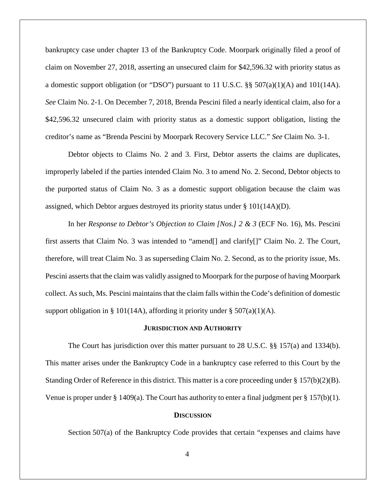bankruptcy case under chapter 13 of the Bankruptcy Code. Moorpark originally filed a proof of claim on November 27, 2018, asserting an unsecured claim for \$42,596.32 with priority status as a domestic support obligation (or "DSO") pursuant to 11 U.S.C.  $\S$  507(a)(1)(A) and 101(14A). *See* Claim No. 2-1. On December 7, 2018, Brenda Pescini filed a nearly identical claim, also for a \$42,596.32 unsecured claim with priority status as a domestic support obligation, listing the creditor's name as "Brenda Pescini by Moorpark Recovery Service LLC." *See* Claim No. 3-1.

Debtor objects to Claims No. 2 and 3. First, Debtor asserts the claims are duplicates, improperly labeled if the parties intended Claim No. 3 to amend No. 2. Second, Debtor objects to the purported status of Claim No. 3 as a domestic support obligation because the claim was assigned, which Debtor argues destroyed its priority status under  $\S$  101(14A)(D).

In her *Response to Debtor's Objection to Claim [Nos.] 2 & 3* (ECF No. 16), Ms. Pescini first asserts that Claim No. 3 was intended to "amend[] and clarify[]" Claim No. 2. The Court, therefore, will treat Claim No. 3 as superseding Claim No. 2. Second, as to the priority issue, Ms. Pescini asserts that the claim was validly assigned to Moorpark for the purpose of having Moorpark collect. As such, Ms. Pescini maintains that the claim falls within the Code's definition of domestic support obligation in § 101(14A), affording it priority under § 507(a)(1)(A).

#### **JURISDICTION AND AUTHORITY**

The Court has jurisdiction over this matter pursuant to 28 U.S.C.  $\S$  157(a) and 1334(b). This matter arises under the Bankruptcy Code in a bankruptcy case referred to this Court by the Standing Order of Reference in this district. This matter is a core proceeding under § 157(b)(2)(B). Venue is proper under § 1409(a). The Court has authority to enter a final judgment per § 157(b)(1).

#### **DISCUSSION**

Section 507(a) of the Bankruptcy Code provides that certain "expenses and claims have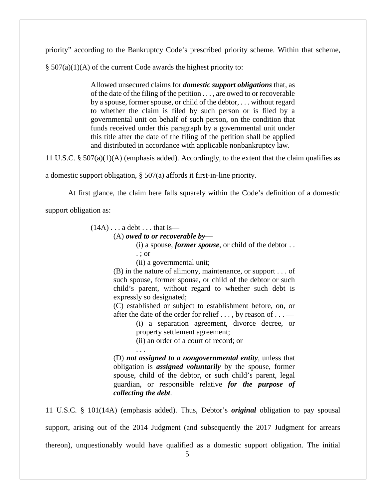priority" according to the Bankruptcy Code's prescribed priority scheme. Within that scheme,

 $\S$  507(a)(1)(A) of the current Code awards the highest priority to:

Allowed unsecured claims for *domestic support obligations* that, as of the date of the filing of the petition . . . , are owed to or recoverable by a spouse, former spouse, or child of the debtor, . . . without regard to whether the claim is filed by such person or is filed by a governmental unit on behalf of such person, on the condition that funds received under this paragraph by a governmental unit under this title after the date of the filing of the petition shall be applied and distributed in accordance with applicable nonbankruptcy law.

11 U.S.C. § 507(a)(1)(A) (emphasis added). Accordingly, to the extent that the claim qualifies as

a domestic support obligation, § 507(a) affords it first-in-line priority.

At first glance, the claim here falls squarely within the Code's definition of a domestic

support obligation as:

 $(14A) \ldots$  a debt  $\ldots$  that is—

(A) *owed to or recoverable by*—

(i) a spouse, *former spouse*, or child of the debtor . .

- . ; or
- (ii) a governmental unit;

(B) in the nature of alimony, maintenance, or support . . . of such spouse, former spouse, or child of the debtor or such child's parent, without regard to whether such debt is expressly so designated;

(C) established or subject to establishment before, on, or after the date of the order for relief  $\dots$ , by reason of  $\dots$ 

> (i) a separation agreement, divorce decree, or property settlement agreement;

(ii) an order of a court of record; or

. . . (D) *not assigned to a nongovernmental entity*, unless that obligation is *assigned voluntarily* by the spouse, former spouse, child of the debtor, or such child's parent, legal guardian, or responsible relative *for the purpose of collecting the debt*.

11 U.S.C. § 101(14A) (emphasis added). Thus, Debtor's *original* obligation to pay spousal support, arising out of the 2014 Judgment (and subsequently the 2017 Judgment for arrears thereon), unquestionably would have qualified as a domestic support obligation. The initial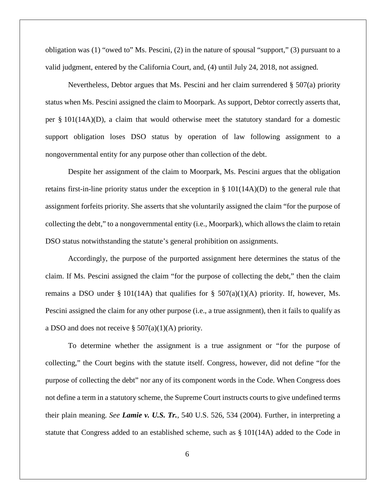obligation was (1) "owed to" Ms. Pescini, (2) in the nature of spousal "support," (3) pursuant to a valid judgment, entered by the California Court, and, (4) until July 24, 2018, not assigned.

Nevertheless, Debtor argues that Ms. Pescini and her claim surrendered § 507(a) priority status when Ms. Pescini assigned the claim to Moorpark. As support, Debtor correctly asserts that, per § 101(14A)(D), a claim that would otherwise meet the statutory standard for a domestic support obligation loses DSO status by operation of law following assignment to a nongovernmental entity for any purpose other than collection of the debt.

Despite her assignment of the claim to Moorpark, Ms. Pescini argues that the obligation retains first-in-line priority status under the exception in  $\S$  101(14A)(D) to the general rule that assignment forfeits priority. She asserts that she voluntarily assigned the claim "for the purpose of collecting the debt," to a nongovernmental entity (i.e., Moorpark), which allows the claim to retain DSO status notwithstanding the statute's general prohibition on assignments.

Accordingly, the purpose of the purported assignment here determines the status of the claim. If Ms. Pescini assigned the claim "for the purpose of collecting the debt," then the claim remains a DSO under § 101(14A) that qualifies for §  $507(a)(1)(A)$  priority. If, however, Ms. Pescini assigned the claim for any other purpose (i.e., a true assignment), then it fails to qualify as a DSO and does not receive  $\S 507(a)(1)(A)$  priority.

To determine whether the assignment is a true assignment or "for the purpose of collecting," the Court begins with the statute itself. Congress, however, did not define "for the purpose of collecting the debt" nor any of its component words in the Code. When Congress does not define a term in a statutory scheme, the Supreme Court instructs courts to give undefined terms their plain meaning. *See Lamie v. U.S. Tr.*, 540 U.S. 526, 534 (2004). Further, in interpreting a statute that Congress added to an established scheme, such as § 101(14A) added to the Code in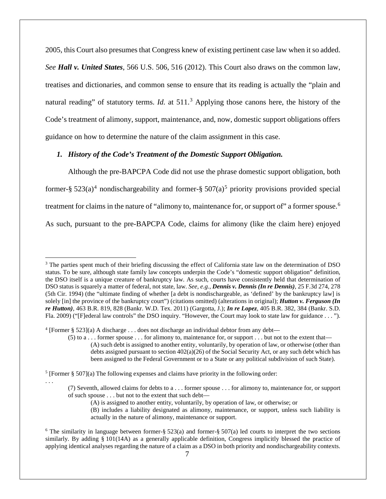2005, this Court also presumes that Congress knew of existing pertinent case law when it so added. *See Hall v. United States*, 566 U.S. 506, 516 (2012). This Court also draws on the common law, treatises and dictionaries, and common sense to ensure that its reading is actually the "plain and natural reading" of statutory terms. *Id.* at 511. [3](#page-6-0) Applying those canons here, the history of the Code's treatment of alimony, support, maintenance, and, now, domestic support obligations offers guidance on how to determine the nature of the claim assignment in this case.

## *1. History of the Code's Treatment of the Domestic Support Obligation.*

Although the pre-BAPCPA Code did not use the phrase domestic support obligation, both former-§  $523(a)^4$  $523(a)^4$  nondischargeability and former-§  $507(a)^5$  $507(a)^5$  priority provisions provided special treatment for claims in the nature of "alimony to, maintenance for, or support of" a former spouse.<sup>[6](#page-6-3)</sup> As such, pursuant to the pre-BAPCPA Code, claims for alimony (like the claim here) enjoyed

. . .

(7) Seventh, allowed claims for debts to a . . . former spouse . . . for alimony to, maintenance for, or support of such spouse . . . but not to the extent that such debt—

<span id="page-6-0"></span><sup>&</sup>lt;sup>3</sup> The parties spent much of their briefing discussing the effect of California state law on the determination of DSO status. To be sure, although state family law concepts underpin the Code's "domestic support obligation" definition, the DSO itself is a unique creature of bankruptcy law. As such, courts have consistently held that determination of DSO status is squarely a matter of federal, not state, law. *See, e.g.*, *Dennis v. Dennis (In re Dennis)*, 25 F.3d 274, 278 (5th Cir. 1994) (the "ultimate finding of whether [a debt is nondischargeable, as 'defined' by the bankruptcy law] is solely [in] the province of the bankruptcy court") (citations omitted) (alterations in original); *Hutton v. Ferguson (In re Hutton)*, 463 B.R. 819, 828 (Bankr. W.D. Tex. 2011) (Gargotta, J.); *In re Lopez*, 405 B.R. 382, 384 (Bankr. S.D. Fla. 2009) ("[F]ederal law controls" the DSO inquiry. "However, the Court may look to state law for guidance . . . ").

<span id="page-6-1"></span><sup>4</sup> [Former § 523](a) A discharge . . . does not discharge an individual debtor from any debt—

 $(5)$  to a ... former spouse ... for alimony to, maintenance for, or support ... but not to the extent that— (A) such debt is assigned to another entity, voluntarily, by operation of law, or otherwise (other than debts assigned pursuant to section  $402(a)(26)$  of the Social Security Act, or any such debt which has been assigned to the Federal Government or to a State or any political subdivision of such State).

<span id="page-6-2"></span> $5$  [Former § 507](a) The following expenses and claims have priority in the following order:

<sup>(</sup>A) is assigned to another entity, voluntarily, by operation of law, or otherwise; or

<sup>(</sup>B) includes a liability designated as alimony, maintenance, or support, unless such liability is actually in the nature of alimony, maintenance or support.

<span id="page-6-3"></span><sup>&</sup>lt;sup>6</sup> The similarity in language between former-§  $523(a)$  and former-§  $507(a)$  led courts to interpret the two sections similarly. By adding § 101(14A) as a generally applicable definition, Congress implicitly blessed the practice of applying identical analyses regarding the nature of a claim as a DSO in both priority and nondischargeability contexts.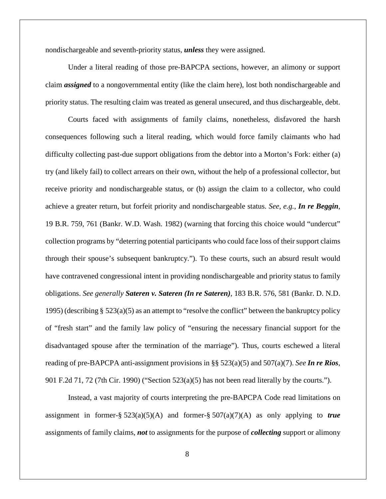nondischargeable and seventh-priority status, *unless* they were assigned.

Under a literal reading of those pre-BAPCPA sections, however, an alimony or support claim *assigned* to a nongovernmental entity (like the claim here), lost both nondischargeable and priority status. The resulting claim was treated as general unsecured, and thus dischargeable, debt.

Courts faced with assignments of family claims, nonetheless, disfavored the harsh consequences following such a literal reading, which would force family claimants who had difficulty collecting past-due support obligations from the debtor into a Morton's Fork: either (a) try (and likely fail) to collect arrears on their own, without the help of a professional collector, but receive priority and nondischargeable status, or (b) assign the claim to a collector, who could achieve a greater return, but forfeit priority and nondischargeable status. *See, e.g.*, *In re Beggin*, 19 B.R. 759, 761 (Bankr. W.D. Wash. 1982) (warning that forcing this choice would "undercut" collection programs by "deterring potential participants who could face loss of their support claims through their spouse's subsequent bankruptcy."). To these courts, such an absurd result would have contravened congressional intent in providing nondischargeable and priority status to family obligations. *See generally Sateren v. Sateren (In re Sateren)*, 183 B.R. 576, 581 (Bankr. D. N.D. 1995) (describing  $\S 523(a)(5)$  as an attempt to "resolve the conflict" between the bankruptcy policy of "fresh start" and the family law policy of "ensuring the necessary financial support for the disadvantaged spouse after the termination of the marriage"). Thus, courts eschewed a literal reading of pre-BAPCPA anti-assignment provisions in §§ 523(a)(5) and 507(a)(7). *See In re Rios*, 901 F.2d 71, 72 (7th Cir. 1990) ("Section 523(a)(5) has not been read literally by the courts.").

Instead, a vast majority of courts interpreting the pre-BAPCPA Code read limitations on assignment in former-§  $523(a)(5)(A)$  and former-§  $507(a)(7)(A)$  as only applying to *true* assignments of family claims, *not* to assignments for the purpose of *collecting* support or alimony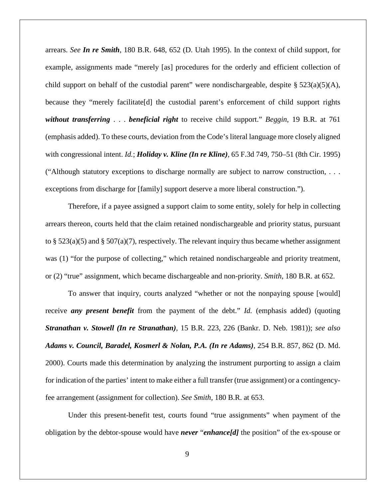arrears. *See In re Smith*, 180 B.R. 648, 652 (D. Utah 1995). In the context of child support, for example, assignments made "merely [as] procedures for the orderly and efficient collection of child support on behalf of the custodial parent" were nondischargeable, despite  $\S 523(a)(5)(A)$ , because they "merely facilitate[d] the custodial parent's enforcement of child support rights *without transferring* . . . *beneficial right* to receive child support." *Beggin*, 19 B.R. at 761 (emphasis added). To these courts, deviation from the Code's literal language more closely aligned with congressional intent. *Id.*; *Holiday v. Kline (In re Kline)*, 65 F.3d 749, 750–51 (8th Cir. 1995) ("Although statutory exceptions to discharge normally are subject to narrow construction, . . . exceptions from discharge for [family] support deserve a more liberal construction.").

Therefore, if a payee assigned a support claim to some entity, solely for help in collecting arrears thereon, courts held that the claim retained nondischargeable and priority status, pursuant to § 523(a)(5) and § 507(a)(7), respectively. The relevant inquiry thus became whether assignment was (1) "for the purpose of collecting," which retained nondischargeable and priority treatment, or (2) "true" assignment, which became dischargeable and non-priority. *Smith*, 180 B.R. at 652.

To answer that inquiry, courts analyzed "whether or not the nonpaying spouse [would] receive *any present benefit* from the payment of the debt." *Id.* (emphasis added) (quoting *Stranathan v. Stowell (In re Stranathan)*, 15 B.R. 223, 226 (Bankr. D. Neb. 1981)); *see also Adams v. Council, Baradel, Kosmerl & Nolan, P.A. (In re Adams)*, 254 B.R. 857, 862 (D. Md. 2000). Courts made this determination by analyzing the instrument purporting to assign a claim for indication of the parties' intent to make either a full transfer (true assignment) or a contingencyfee arrangement (assignment for collection). *See Smith*, 180 B.R. at 653.

Under this present-benefit test, courts found "true assignments" when payment of the obligation by the debtor-spouse would have *never* "*enhance[d]* the position" of the ex-spouse or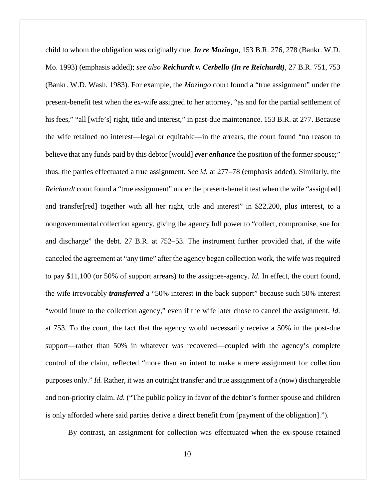child to whom the obligation was originally due. *In re Mozingo*, 153 B.R. 276, 278 (Bankr. W.D. Mo. 1993) (emphasis added); *see also Reichurdt v. Cerbello (In re Reichurdt)*, 27 B.R. 751, 753 (Bankr. W.D. Wash. 1983). For example, the *Mozingo* court found a "true assignment" under the present-benefit test when the ex-wife assigned to her attorney, "as and for the partial settlement of his fees," "all [wife's] right, title and interest," in past-due maintenance. 153 B.R. at 277. Because the wife retained no interest—legal or equitable—in the arrears, the court found "no reason to believe that any funds paid by this debtor [would] *ever enhance* the position of the former spouse;" thus, the parties effectuated a true assignment. *See id.* at 277–78 (emphasis added). Similarly, the *Reichurdt* court found a "true assignment" under the present-benefit test when the wife "assign[ed] and transfer[red] together with all her right, title and interest" in \$22,200, plus interest, to a nongovernmental collection agency, giving the agency full power to "collect, compromise, sue for and discharge" the debt. 27 B.R. at 752–53. The instrument further provided that, if the wife canceled the agreement at "any time" after the agency began collection work, the wife was required to pay \$11,100 (or 50% of support arrears) to the assignee-agency. *Id.* In effect, the court found, the wife irrevocably *transferred* a "50% interest in the back support" because such 50% interest "would inure to the collection agency," even if the wife later chose to cancel the assignment. *Id.*  at 753. To the court, the fact that the agency would necessarily receive a 50% in the post-due support—rather than 50% in whatever was recovered—coupled with the agency's complete control of the claim, reflected "more than an intent to make a mere assignment for collection purposes only." *Id.* Rather, it was an outright transfer and true assignment of a (now) dischargeable and non-priority claim. *Id.* ("The public policy in favor of the debtor's former spouse and children is only afforded where said parties derive a direct benefit from [payment of the obligation].").

By contrast, an assignment for collection was effectuated when the ex-spouse retained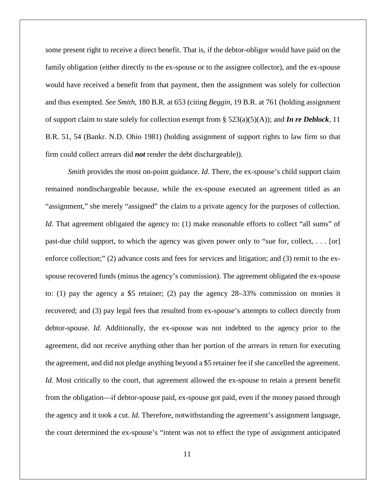some present right to receive a direct benefit. That is, if the debtor-obligor would have paid on the family obligation (either directly to the ex-spouse or to the assignee collector), and the ex-spouse would have received a benefit from that payment, then the assignment was solely for collection and thus exempted. *See Smith*, 180 B.R. at 653 (citing *Beggin*, 19 B.R. at 761 (holding assignment of support claim to state solely for collection exempt from  $\S 523(a)(5)(A)$ ; and **In re Deblock**, 11 B.R. 51, 54 (Bankr. N.D. Ohio 1981) (holding assignment of support rights to law firm so that firm could collect arrears did *not* render the debt dischargeable)).

*Smith* provides the most on-point guidance. *Id.* There, the ex-spouse's child support claim remained nondischargeable because, while the ex-spouse executed an agreement titled as an "assignment," she merely "assigned" the claim to a private agency for the purposes of collection. *Id.* That agreement obligated the agency to: (1) make reasonable efforts to collect "all sums" of past-due child support, to which the agency was given power only to "sue for, collect, . . . [or] enforce collection;" (2) advance costs and fees for services and litigation; and (3) remit to the exspouse recovered funds (minus the agency's commission). The agreement obligated the ex-spouse to: (1) pay the agency a \$5 retainer; (2) pay the agency 28–33% commission on monies it recovered; and (3) pay legal fees that resulted from ex-spouse's attempts to collect directly from debtor-spouse. *Id.* Additionally, the ex-spouse was not indebted to the agency prior to the agreement, did not receive anything other than her portion of the arrears in return for executing the agreement, and did not pledge anything beyond a \$5 retainer fee if she cancelled the agreement. *Id.* Most critically to the court, that agreement allowed the ex-spouse to retain a present benefit from the obligation—if debtor-spouse paid, ex-spouse got paid, even if the money passed through the agency and it took a cut. *Id.* Therefore, notwithstanding the agreement's assignment language, the court determined the ex-spouse's "intent was not to effect the type of assignment anticipated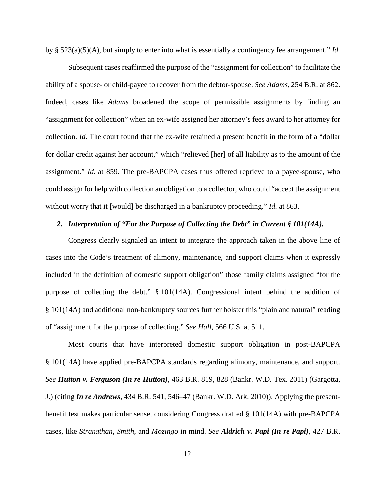by § 523(a)(5)(A), but simply to enter into what is essentially a contingency fee arrangement." *Id.*

Subsequent cases reaffirmed the purpose of the "assignment for collection" to facilitate the ability of a spouse- or child-payee to recover from the debtor-spouse. *See Adams*, 254 B.R. at 862. Indeed, cases like *Adams* broadened the scope of permissible assignments by finding an "assignment for collection" when an ex-wife assigned her attorney's fees award to her attorney for collection. *Id.* The court found that the ex-wife retained a present benefit in the form of a "dollar for dollar credit against her account," which "relieved [her] of all liability as to the amount of the assignment." *Id.* at 859. The pre-BAPCPA cases thus offered reprieve to a payee-spouse, who could assign for help with collection an obligation to a collector, who could "accept the assignment without worry that it [would] be discharged in a bankruptcy proceeding." *Id.* at 863.

## *2. Interpretation of "For the Purpose of Collecting the Debt" in Current § 101(14A).*

Congress clearly signaled an intent to integrate the approach taken in the above line of cases into the Code's treatment of alimony, maintenance, and support claims when it expressly included in the definition of domestic support obligation" those family claims assigned "for the purpose of collecting the debt." § 101(14A). Congressional intent behind the addition of § 101(14A) and additional non-bankruptcy sources further bolster this "plain and natural" reading of "assignment for the purpose of collecting." *See Hall*, 566 U.S. at 511.

Most courts that have interpreted domestic support obligation in post-BAPCPA § 101(14A) have applied pre-BAPCPA standards regarding alimony, maintenance, and support. *See Hutton v. Ferguson (In re Hutton)*, 463 B.R. 819, 828 (Bankr. W.D. Tex. 2011) (Gargotta, J.) (citing *In re Andrews*, 434 B.R. 541, 546–47 (Bankr. W.D. Ark. 2010)). Applying the presentbenefit test makes particular sense, considering Congress drafted § 101(14A) with pre-BAPCPA cases, like *Stranathan*, *Smith*, and *Mozingo* in mind. *See Aldrich v. Papi (In re Papi)*, 427 B.R.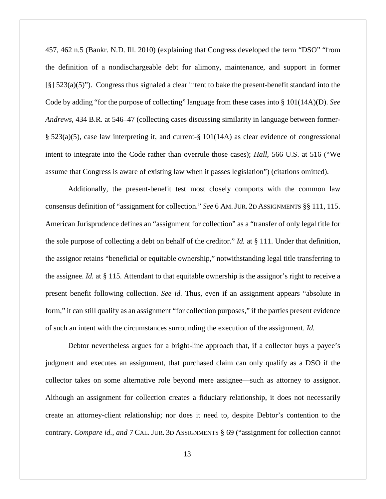457, 462 n.5 (Bankr. N.D. Ill. 2010) (explaining that Congress developed the term "DSO" "from the definition of a nondischargeable debt for alimony, maintenance, and support in former [§] 523(a)(5)"). Congress thus signaled a clear intent to bake the present-benefit standard into the Code by adding "for the purpose of collecting" language from these cases into § 101(14A)(D). *See Andrews*, 434 B.R. at 546–47 (collecting cases discussing similarity in language between former- § 523(a)(5), case law interpreting it, and current-§ 101(14A) as clear evidence of congressional intent to integrate into the Code rather than overrule those cases); *Hall*, 566 U.S. at 516 ("We assume that Congress is aware of existing law when it passes legislation") (citations omitted).

Additionally, the present-benefit test most closely comports with the common law consensus definition of "assignment for collection." *See* 6 AM.JUR. 2D ASSIGNMENTS §§ 111, 115. American Jurisprudence defines an "assignment for collection" as a "transfer of only legal title for the sole purpose of collecting a debt on behalf of the creditor." *Id.* at § 111. Under that definition, the assignor retains "beneficial or equitable ownership," notwithstanding legal title transferring to the assignee. *Id.* at § 115. Attendant to that equitable ownership is the assignor's right to receive a present benefit following collection. *See id.* Thus, even if an assignment appears "absolute in form," it can still qualify as an assignment "for collection purposes," if the parties present evidence of such an intent with the circumstances surrounding the execution of the assignment. *Id.*

Debtor nevertheless argues for a bright-line approach that, if a collector buys a payee's judgment and executes an assignment, that purchased claim can only qualify as a DSO if the collector takes on some alternative role beyond mere assignee—such as attorney to assignor. Although an assignment for collection creates a fiduciary relationship, it does not necessarily create an attorney-client relationship; nor does it need to, despite Debtor's contention to the contrary. *Compare id.*, *and* 7 CAL. JUR. 3D ASSIGNMENTS § 69 ("assignment for collection cannot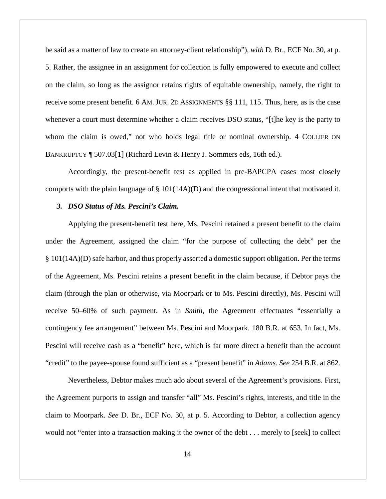be said as a matter of law to create an attorney-client relationship"), *with* D. Br., ECF No. 30, at p. 5. Rather, the assignee in an assignment for collection is fully empowered to execute and collect on the claim, so long as the assignor retains rights of equitable ownership, namely, the right to receive some present benefit. 6 AM. JUR. 2D ASSIGNMENTS §§ 111, 115. Thus, here, as is the case whenever a court must determine whether a claim receives DSO status, "[t]he key is the party to whom the claim is owed," not who holds legal title or nominal ownership. 4 COLLIER ON BANKRUPTCY ¶ 507.03[1] (Richard Levin & Henry J. Sommers eds, 16th ed.).

Accordingly, the present-benefit test as applied in pre-BAPCPA cases most closely comports with the plain language of § 101(14A)(D) and the congressional intent that motivated it.

## *3. DSO Status of Ms. Pescini's Claim.*

Applying the present-benefit test here, Ms. Pescini retained a present benefit to the claim under the Agreement, assigned the claim "for the purpose of collecting the debt" per the § 101(14A)(D) safe harbor, and thus properly asserted a domestic support obligation. Per the terms of the Agreement, Ms. Pescini retains a present benefit in the claim because, if Debtor pays the claim (through the plan or otherwise, via Moorpark or to Ms. Pescini directly), Ms. Pescini will receive 50–60% of such payment. As in *Smith*, the Agreement effectuates "essentially a contingency fee arrangement" between Ms. Pescini and Moorpark. 180 B.R. at 653. In fact, Ms. Pescini will receive cash as a "benefit" here, which is far more direct a benefit than the account "credit" to the payee-spouse found sufficient as a "present benefit" in *Adams*. *See* 254 B.R. at 862.

Nevertheless, Debtor makes much ado about several of the Agreement's provisions. First, the Agreement purports to assign and transfer "all" Ms. Pescini's rights, interests, and title in the claim to Moorpark. *See* D. Br., ECF No. 30, at p. 5. According to Debtor, a collection agency would not "enter into a transaction making it the owner of the debt . . . merely to [seek] to collect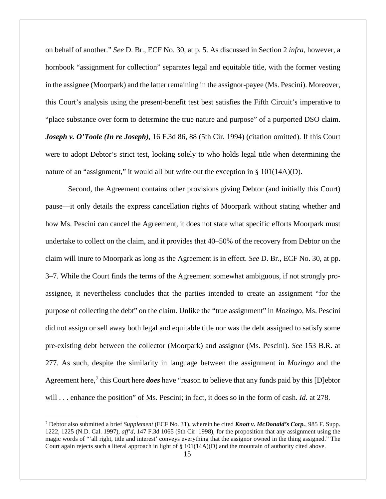on behalf of another." *See* D. Br., ECF No. 30, at p. 5. As discussed in Section 2 *infra*, however, a hornbook "assignment for collection" separates legal and equitable title, with the former vesting in the assignee (Moorpark) and the latter remaining in the assignor-payee (Ms. Pescini). Moreover, this Court's analysis using the present-benefit test best satisfies the Fifth Circuit's imperative to "place substance over form to determine the true nature and purpose" of a purported DSO claim. *Joseph v. O'Toole (In re Joseph)*, 16 F.3d 86, 88 (5th Cir. 1994) (citation omitted). If this Court were to adopt Debtor's strict test, looking solely to who holds legal title when determining the nature of an "assignment," it would all but write out the exception in  $\S$  101(14A)(D).

Second, the Agreement contains other provisions giving Debtor (and initially this Court) pause—it only details the express cancellation rights of Moorpark without stating whether and how Ms. Pescini can cancel the Agreement, it does not state what specific efforts Moorpark must undertake to collect on the claim, and it provides that 40–50% of the recovery from Debtor on the claim will inure to Moorpark as long as the Agreement is in effect. *See* D. Br., ECF No. 30, at pp. 3–7. While the Court finds the terms of the Agreement somewhat ambiguous, if not strongly proassignee, it nevertheless concludes that the parties intended to create an assignment "for the purpose of collecting the debt" on the claim. Unlike the "true assignment" in *Mozingo*, Ms. Pescini did not assign or sell away both legal and equitable title nor was the debt assigned to satisfy some pre-existing debt between the collector (Moorpark) and assignor (Ms. Pescini). *See* 153 B.R. at 277. As such, despite the similarity in language between the assignment in *Mozingo* and the Agreement here,<sup>[7](#page-14-0)</sup> this Court here *does* have "reason to believe that any funds paid by this [D]ebtor will . . . enhance the position" of Ms. Pescini; in fact, it does so in the form of cash. *Id.* at 278.

<span id="page-14-0"></span> <sup>7</sup> Debtor also submitted a brief *Supplement* (ECF No. 31), wherein he cited *Knott v. McDonald's Corp.*, 985 F. Supp. 1222, 1225 (N.D. Cal. 1997), *aff'd*, 147 F.3d 1065 (9th Cir. 1998), for the proposition that any assignment using the magic words of "'all right, title and interest' conveys everything that the assignor owned in the thing assigned." The Court again rejects such a literal approach in light of  $\S 101(14A)(D)$  and the mountain of authority cited above.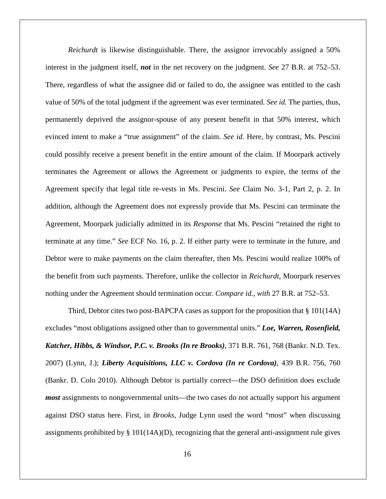*Reichurdt* is likewise distinguishable. There, the assignor irrevocably assigned a 50% interest in the judgment itself, *not* in the net recovery on the judgment. *See* 27 B.R. at 752–53. There, regardless of what the assignee did or failed to do, the assignee was entitled to the cash value of 50% of the total judgment if the agreement was ever terminated. *See id.* The parties, thus, permanently deprived the assignor-spouse of any present benefit in that 50% interest, which evinced intent to make a "true assignment" of the claim. *See id.* Here, by contrast, Ms. Pescini could possibly receive a present benefit in the entire amount of the claim. If Moorpark actively terminates the Agreement or allows the Agreement or judgments to expire, the terms of the Agreement specify that legal title re-vests in Ms. Pescini. *See* Claim No. 3-1, Part 2, p. 2. In addition, although the Agreement does not expressly provide that Ms. Pescini can terminate the Agreement, Moorpark judicially admitted in its *Response* that Ms. Pescini "retained the right to terminate at any time." *See* ECF No. 16, p. 2. If either party were to terminate in the future, and Debtor were to make payments on the claim thereafter, then Ms. Pescini would realize 100% of the benefit from such payments. Therefore, unlike the collector in *Reichurdt*, Moorpark reserves nothing under the Agreement should termination occur. *Compare id.*, *with* 27 B.R. at 752–53.

Third, Debtor cites two post-BAPCPA cases as support for the proposition that  $\S 101(14A)$ excludes "most obligations assigned other than to governmental units." *Loe, Warren, Rosenfield, Katcher, Hibbs, & Windsor, P.C. v. Brooks (In re Brooks)*, 371 B.R. 761, 768 (Bankr. N.D. Tex. 2007) (Lynn, J.); *Liberty Acquisitions, LLC v. Cordova (In re Cordova)*, 439 B.R. 756, 760 (Bankr. D. Colo 2010). Although Debtor is partially correct—the DSO definition does exclude *most* assignments to nongovernmental units—the two cases do not actually support his argument against DSO status here. First, in *Brooks*, Judge Lynn used the word "most" when discussing assignments prohibited by  $\S 101(14A)(D)$ , recognizing that the general anti-assignment rule gives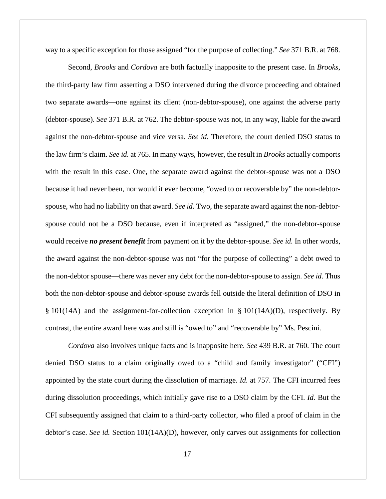way to a specific exception for those assigned "for the purpose of collecting." *See* 371 B.R. at 768.

Second, *Brooks* and *Cordova* are both factually inapposite to the present case. In *Brooks*, the third-party law firm asserting a DSO intervened during the divorce proceeding and obtained two separate awards—one against its client (non-debtor-spouse), one against the adverse party (debtor-spouse). *See* 371 B.R. at 762. The debtor-spouse was not, in any way, liable for the award against the non-debtor-spouse and vice versa. *See id.* Therefore, the court denied DSO status to the law firm's claim. *See id.* at 765. In many ways, however, the result in *Brooks* actually comports with the result in this case. One, the separate award against the debtor-spouse was not a DSO because it had never been, nor would it ever become, "owed to or recoverable by" the non-debtorspouse, who had no liability on that award. *See id.* Two, the separate award against the non-debtorspouse could not be a DSO because, even if interpreted as "assigned," the non-debtor-spouse would receive *no present benefit* from payment on it by the debtor-spouse. *See id.* In other words, the award against the non-debtor-spouse was not "for the purpose of collecting" a debt owed to the non-debtor spouse—there was never any debt for the non-debtor-spouse to assign. *See id.* Thus both the non-debtor-spouse and debtor-spouse awards fell outside the literal definition of DSO in § 101(14A) and the assignment-for-collection exception in § 101(14A)(D), respectively. By contrast, the entire award here was and still is "owed to" and "recoverable by" Ms. Pescini.

*Cordova* also involves unique facts and is inapposite here. *See* 439 B.R. at 760. The court denied DSO status to a claim originally owed to a "child and family investigator" ("CFI") appointed by the state court during the dissolution of marriage. *Id.* at 757. The CFI incurred fees during dissolution proceedings, which initially gave rise to a DSO claim by the CFI. *Id.* But the CFI subsequently assigned that claim to a third-party collector, who filed a proof of claim in the debtor's case. *See id.* Section 101(14A)(D), however, only carves out assignments for collection